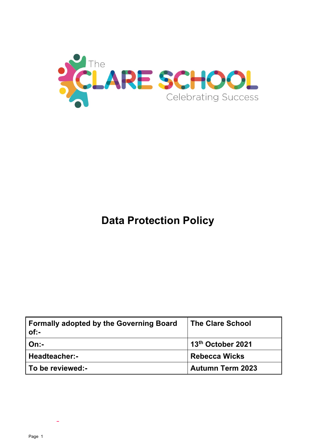

# **Data Protection Policy**

| <b>Formally adopted by the Governing Board</b><br>$of:-$ | <b>The Clare School</b> |
|----------------------------------------------------------|-------------------------|
| On:                                                      | 13th October 2021       |
| Headteacher:-                                            | <b>Rebecca Wicks</b>    |
| To be reviewed:-                                         | <b>Autumn Term 2023</b> |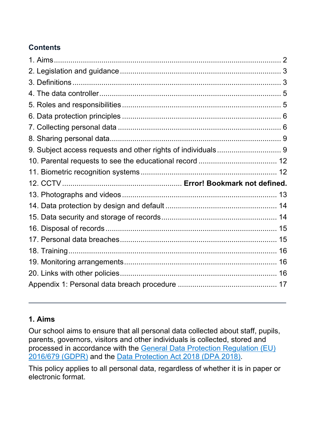## **Contents**

## **1. Aims**

Our school aims to ensure that all personal data collected about staff, pupils, parents, governors, visitors and other individuals is collected, stored and processed in accordance with the General Data Protection Regulation (EU) 2016/679 (GDPR) and the Data Protection Act 2018 (DPA 2018).

This policy applies to all personal data, regardless of whether it is in paper or electronic format.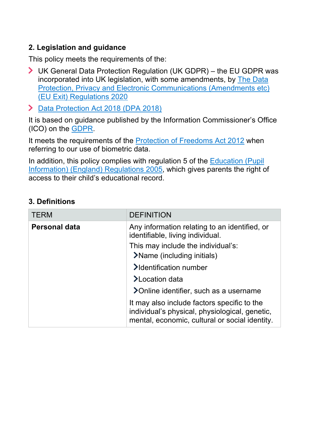## **2. Legislation and guidance**

This policy meets the requirements of the:

- UK General Data Protection Regulation (UK GDPR) the EU GDPR was incorporated into UK legislation, with some amendments, by The Data Protection, Privacy and Electronic Communications (Amendments etc) (EU Exit) Regulations 2020
- > Data Protection Act 2018 (DPA 2018)

It is based on guidance published by the Information Commissioner's Office (ICO) on the GDPR.

It meets the requirements of the Protection of Freedoms Act 2012 when referring to our use of biometric data.

In addition, this policy complies with regulation 5 of the **Education (Pupil** Information) (England) Regulations 2005, which gives parents the right of access to their child's educational record.

| <b>TERM</b>          | <b>DEFINITION</b>                                                                                                                               |
|----------------------|-------------------------------------------------------------------------------------------------------------------------------------------------|
| <b>Personal data</b> | Any information relating to an identified, or<br>identifiable, living individual.                                                               |
|                      | This may include the individual's:                                                                                                              |
|                      | >Name (including initials)                                                                                                                      |
|                      | >Identification number                                                                                                                          |
|                      | >Location data                                                                                                                                  |
|                      | >Online identifier, such as a username                                                                                                          |
|                      | It may also include factors specific to the<br>individual's physical, physiological, genetic,<br>mental, economic, cultural or social identity. |

#### **3. Definitions**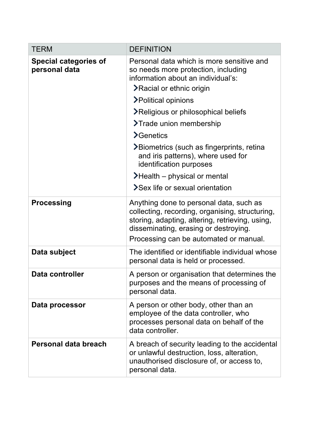| <b>TERM</b>                                   | <b>DEFINITION</b>                                                                                                                                                                                                                |
|-----------------------------------------------|----------------------------------------------------------------------------------------------------------------------------------------------------------------------------------------------------------------------------------|
| <b>Special categories of</b><br>personal data | Personal data which is more sensitive and<br>so needs more protection, including<br>information about an individual's:<br><b>≻Racial or ethnic origin</b>                                                                        |
|                                               | >Political opinions                                                                                                                                                                                                              |
|                                               | >Religious or philosophical beliefs                                                                                                                                                                                              |
|                                               | >Trade union membership                                                                                                                                                                                                          |
|                                               | <b>&gt;</b> Genetics                                                                                                                                                                                                             |
|                                               | >Biometrics (such as fingerprints, retina<br>and iris patterns), where used for<br>identification purposes                                                                                                                       |
|                                               | $\blacktriangleright$ Health – physical or mental                                                                                                                                                                                |
|                                               | >Sex life or sexual orientation                                                                                                                                                                                                  |
| <b>Processing</b>                             | Anything done to personal data, such as<br>collecting, recording, organising, structuring,<br>storing, adapting, altering, retrieving, using,<br>disseminating, erasing or destroying.<br>Processing can be automated or manual. |
| Data subject                                  | The identified or identifiable individual whose<br>personal data is held or processed.                                                                                                                                           |
| Data controller                               | A person or organisation that determines the<br>purposes and the means of processing of<br>personal data.                                                                                                                        |
| Data processor                                | A person or other body, other than an<br>employee of the data controller, who<br>processes personal data on behalf of the<br>data controller.                                                                                    |
| Personal data breach                          | A breach of security leading to the accidental<br>or unlawful destruction, loss, alteration,<br>unauthorised disclosure of, or access to,<br>personal data.                                                                      |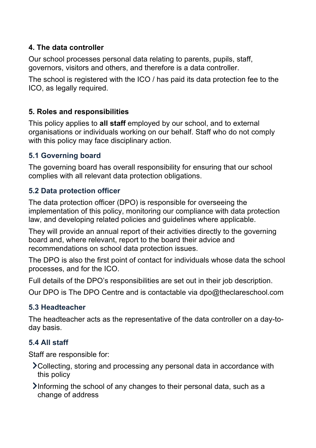## **4. The data controller**

Our school processes personal data relating to parents, pupils, staff, governors, visitors and others, and therefore is a data controller.

The school is registered with the ICO / has paid its data protection fee to the ICO, as legally required.

## **5. Roles and responsibilities**

This policy applies to **all staff** employed by our school, and to external organisations or individuals working on our behalf. Staff who do not comply with this policy may face disciplinary action.

## **5.1 Governing board**

The governing board has overall responsibility for ensuring that our school complies with all relevant data protection obligations.

## **5.2 Data protection officer**

The data protection officer (DPO) is responsible for overseeing the implementation of this policy, monitoring our compliance with data protection law, and developing related policies and guidelines where applicable.

They will provide an annual report of their activities directly to the governing board and, where relevant, report to the board their advice and recommendations on school data protection issues.

The DPO is also the first point of contact for individuals whose data the school processes, and for the ICO.

Full details of the DPO's responsibilities are set out in their job description.

Our DPO is The DPO Centre and is contactable via dpo@theclareschool.com

## **5.3 Headteacher**

The headteacher acts as the representative of the data controller on a day-today basis.

## **5.4 All staff**

Staff are responsible for:

- Collecting, storing and processing any personal data in accordance with this policy
- Informing the school of any changes to their personal data, such as a change of address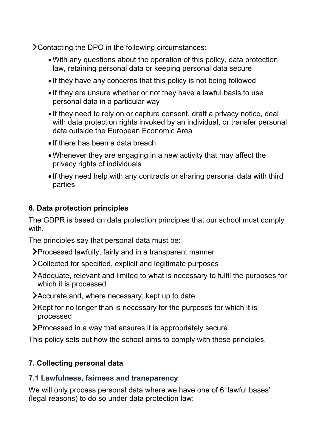Contacting the DPO in the following circumstances:

- •With any questions about the operation of this policy, data protection law, retaining personal data or keeping personal data secure
- If they have any concerns that this policy is not being followed
- If they are unsure whether or not they have a lawful basis to use personal data in a particular way
- If they need to rely on or capture consent, draft a privacy notice, deal with data protection rights invoked by an individual, or transfer personal data outside the European Economic Area
- If there has been a data breach
- •Whenever they are engaging in a new activity that may affect the privacy rights of individuals
- If they need help with any contracts or sharing personal data with third parties

## **6. Data protection principles**

The GDPR is based on data protection principles that our school must comply with.

The principles say that personal data must be:

- Processed lawfully, fairly and in a transparent manner
- Collected for specified, explicit and legitimate purposes
- Adequate, relevant and limited to what is necessary to fulfil the purposes for which it is processed
- Accurate and, where necessary, kept up to date
- Xept for no longer than is necessary for the purposes for which it is processed
- Processed in a way that ensures it is appropriately secure

This policy sets out how the school aims to comply with these principles.

## **7. Collecting personal data**

## **7.1 Lawfulness, fairness and transparency**

We will only process personal data where we have one of 6 'lawful bases' (legal reasons) to do so under data protection law: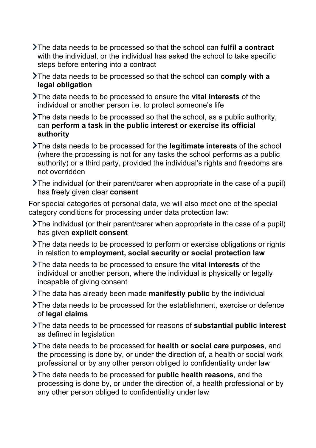- The data needs to be processed so that the school can **fulfil a contract** with the individual, or the individual has asked the school to take specific steps before entering into a contract
- The data needs to be processed so that the school can **comply with a legal obligation**

The data needs to be processed to ensure the **vital interests** of the individual or another person i.e. to protect someone's life

- The data needs to be processed so that the school, as a public authority, can **perform a task in the public interest or exercise its official authority**
- The data needs to be processed for the **legitimate interests** of the school (where the processing is not for any tasks the school performs as a public authority) or a third party, provided the individual's rights and freedoms are not overridden
- The individual (or their parent/carer when appropriate in the case of a pupil) has freely given clear **consent**

For special categories of personal data, we will also meet one of the special category conditions for processing under data protection law:

- The individual (or their parent/carer when appropriate in the case of a pupil) has given **explicit consent**
- The data needs to be processed to perform or exercise obligations or rights in relation to **employment, social security or social protection law**
- The data needs to be processed to ensure the **vital interests** of the individual or another person, where the individual is physically or legally incapable of giving consent
- The data has already been made **manifestly public** by the individual
- The data needs to be processed for the establishment, exercise or defence of **legal claims**
- The data needs to be processed for reasons of **substantial public interest** as defined in legislation
- The data needs to be processed for **health or social care purposes**, and the processing is done by, or under the direction of, a health or social work professional or by any other person obliged to confidentiality under law
- The data needs to be processed for **public health reasons**, and the processing is done by, or under the direction of, a health professional or by any other person obliged to confidentiality under law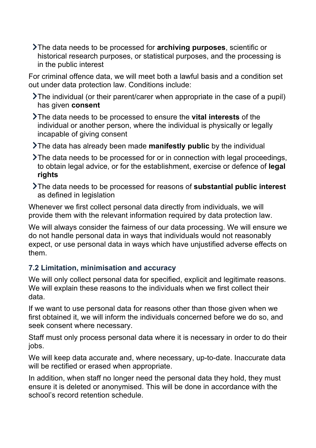The data needs to be processed for **archiving purposes**, scientific or historical research purposes, or statistical purposes, and the processing is in the public interest

For criminal offence data, we will meet both a lawful basis and a condition set out under data protection law. Conditions include:

The individual (or their parent/carer when appropriate in the case of a pupil) has given **consent**

- The data needs to be processed to ensure the **vital interests** of the individual or another person, where the individual is physically or legally incapable of giving consent
- The data has already been made **manifestly public** by the individual
- The data needs to be processed for or in connection with legal proceedings, to obtain legal advice, or for the establishment, exercise or defence of **legal rights**
- The data needs to be processed for reasons of **substantial public interest** as defined in legislation

Whenever we first collect personal data directly from individuals, we will provide them with the relevant information required by data protection law.

We will always consider the fairness of our data processing. We will ensure we do not handle personal data in ways that individuals would not reasonably expect, or use personal data in ways which have unjustified adverse effects on them.

## **7.2 Limitation, minimisation and accuracy**

We will only collect personal data for specified, explicit and legitimate reasons. We will explain these reasons to the individuals when we first collect their data.

If we want to use personal data for reasons other than those given when we first obtained it, we will inform the individuals concerned before we do so, and seek consent where necessary.

Staff must only process personal data where it is necessary in order to do their jobs.

We will keep data accurate and, where necessary, up-to-date. Inaccurate data will be rectified or erased when appropriate.

In addition, when staff no longer need the personal data they hold, they must ensure it is deleted or anonymised. This will be done in accordance with the school's record retention schedule.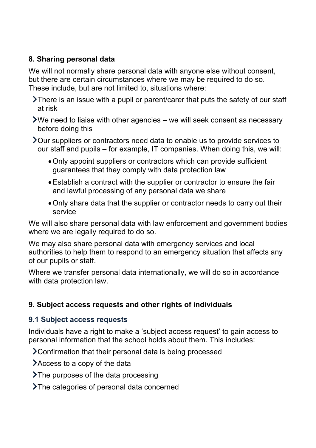## **8. Sharing personal data**

We will not normally share personal data with anyone else without consent, but there are certain circumstances where we may be required to do so. These include, but are not limited to, situations where:

- There is an issue with a pupil or parent/carer that puts the safety of our staff at risk
- We need to liaise with other agencies we will seek consent as necessary before doing this
- Our suppliers or contractors need data to enable us to provide services to our staff and pupils – for example, IT companies. When doing this, we will:
	- •Only appoint suppliers or contractors which can provide sufficient guarantees that they comply with data protection law
	- •Establish a contract with the supplier or contractor to ensure the fair and lawful processing of any personal data we share
	- •Only share data that the supplier or contractor needs to carry out their service

We will also share personal data with law enforcement and government bodies where we are legally required to do so.

We may also share personal data with emergency services and local authorities to help them to respond to an emergency situation that affects any of our pupils or staff.

Where we transfer personal data internationally, we will do so in accordance with data protection law.

## **9. Subject access requests and other rights of individuals**

## **9.1 Subject access requests**

Individuals have a right to make a 'subject access request' to gain access to personal information that the school holds about them. This includes:

Confirmation that their personal data is being processed

Access to a copy of the data

- $\sum$ The purposes of the data processing
- >The categories of personal data concerned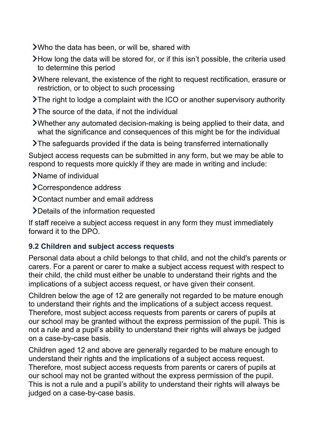- Who the data has been, or will be, shared with
- How long the data will be stored for, or if this isn't possible, the criteria used to determine this period
- Where relevant, the existence of the right to request rectification, erasure or restriction, or to object to such processing
- The right to lodge a complaint with the ICO or another supervisory authority
- The source of the data, if not the individual
- Whether any automated decision-making is being applied to their data, and what the significance and consequences of this might be for the individual
- The safeguards provided if the data is being transferred internationally

Subject access requests can be submitted in any form, but we may be able to respond to requests more quickly if they are made in writing and include:

- Name of individual
- Correspondence address
- > Contact number and email address
- Details of the information requested

If staff receive a subject access request in any form they must immediately forward it to the DPO.

## **9.2 Children and subject access requests**

Personal data about a child belongs to that child, and not the child's parents or carers. For a parent or carer to make a subject access request with respect to their child, the child must either be unable to understand their rights and the implications of a subject access request, or have given their consent.

Children below the age of 12 are generally not regarded to be mature enough to understand their rights and the implications of a subject access request. Therefore, most subject access requests from parents or carers of pupils at our school may be granted without the express permission of the pupil. This is not a rule and a pupil's ability to understand their rights will always be judged on a case-by-case basis.

Children aged 12 and above are generally regarded to be mature enough to understand their rights and the implications of a subject access request. Therefore, most subject access requests from parents or carers of pupils at our school may not be granted without the express permission of the pupil. This is not a rule and a pupil's ability to understand their rights will always be judged on a case-by-case basis.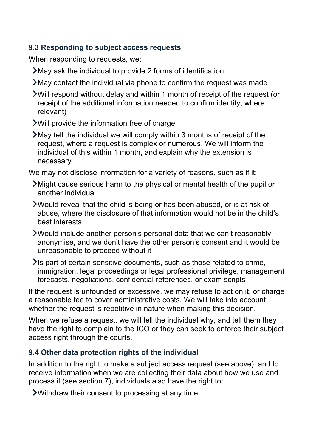## **9.3 Responding to subject access requests**

When responding to requests, we:

- May ask the individual to provide 2 forms of identification
- May contact the individual via phone to confirm the request was made
- Will respond without delay and within 1 month of receipt of the request (or receipt of the additional information needed to confirm identity, where relevant)
- Will provide the information free of charge
- May tell the individual we will comply within 3 months of receipt of the request, where a request is complex or numerous. We will inform the individual of this within 1 month, and explain why the extension is necessary

We may not disclose information for a variety of reasons, such as if it:

- Might cause serious harm to the physical or mental health of the pupil or another individual
- Would reveal that the child is being or has been abused, or is at risk of abuse, where the disclosure of that information would not be in the child's best interests
- Would include another person's personal data that we can't reasonably anonymise, and we don't have the other person's consent and it would be unreasonable to proceed without it
- $\blacktriangleright$  Is part of certain sensitive documents, such as those related to crime, immigration, legal proceedings or legal professional privilege, management forecasts, negotiations, confidential references, or exam scripts

If the request is unfounded or excessive, we may refuse to act on it, or charge a reasonable fee to cover administrative costs. We will take into account whether the request is repetitive in nature when making this decision.

When we refuse a request, we will tell the individual why, and tell them they have the right to complain to the ICO or they can seek to enforce their subject access right through the courts.

## **9.4 Other data protection rights of the individual**

In addition to the right to make a subject access request (see above), and to receive information when we are collecting their data about how we use and process it (see section 7), individuals also have the right to:

Withdraw their consent to processing at any time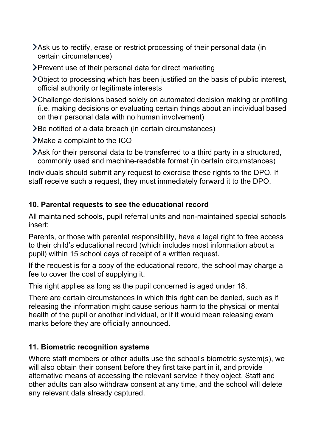- Ask us to rectify, erase or restrict processing of their personal data (in certain circumstances)
- Prevent use of their personal data for direct marketing
- Object to processing which has been justified on the basis of public interest, official authority or legitimate interests
- Challenge decisions based solely on automated decision making or profiling (i.e. making decisions or evaluating certain things about an individual based on their personal data with no human involvement)
- Be notified of a data breach (in certain circumstances)
- Make a complaint to the ICO
- Ask for their personal data to be transferred to a third party in a structured, commonly used and machine-readable format (in certain circumstances)

Individuals should submit any request to exercise these rights to the DPO. If staff receive such a request, they must immediately forward it to the DPO.

## **10. Parental requests to see the educational record**

All maintained schools, pupil referral units and non-maintained special schools insert:

Parents, or those with parental responsibility, have a legal right to free access to their child's educational record (which includes most information about a pupil) within 15 school days of receipt of a written request.

If the request is for a copy of the educational record, the school may charge a fee to cover the cost of supplying it.

This right applies as long as the pupil concerned is aged under 18.

There are certain circumstances in which this right can be denied, such as if releasing the information might cause serious harm to the physical or mental health of the pupil or another individual, or if it would mean releasing exam marks before they are officially announced.

## **11. Biometric recognition systems**

Where staff members or other adults use the school's biometric system(s), we will also obtain their consent before they first take part in it, and provide alternative means of accessing the relevant service if they object. Staff and other adults can also withdraw consent at any time, and the school will delete any relevant data already captured.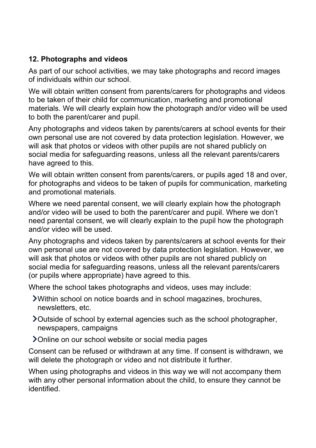## **12. Photographs and videos**

As part of our school activities, we may take photographs and record images of individuals within our school.

We will obtain written consent from parents/carers for photographs and videos to be taken of their child for communication, marketing and promotional materials. We will clearly explain how the photograph and/or video will be used to both the parent/carer and pupil.

Any photographs and videos taken by parents/carers at school events for their own personal use are not covered by data protection legislation. However, we will ask that photos or videos with other pupils are not shared publicly on social media for safeguarding reasons, unless all the relevant parents/carers have agreed to this.

We will obtain written consent from parents/carers, or pupils aged 18 and over, for photographs and videos to be taken of pupils for communication, marketing and promotional materials.

Where we need parental consent, we will clearly explain how the photograph and/or video will be used to both the parent/carer and pupil. Where we don't need parental consent, we will clearly explain to the pupil how the photograph and/or video will be used.

Any photographs and videos taken by parents/carers at school events for their own personal use are not covered by data protection legislation. However, we will ask that photos or videos with other pupils are not shared publicly on social media for safeguarding reasons, unless all the relevant parents/carers (or pupils where appropriate) have agreed to this.

Where the school takes photographs and videos, uses may include:

- Within school on notice boards and in school magazines, brochures, newsletters, etc.
- Outside of school by external agencies such as the school photographer, newspapers, campaigns
- Online on our school website or social media pages

Consent can be refused or withdrawn at any time. If consent is withdrawn, we will delete the photograph or video and not distribute it further.

When using photographs and videos in this way we will not accompany them with any other personal information about the child, to ensure they cannot be identified.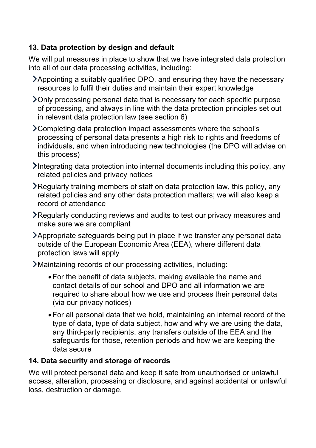## **13. Data protection by design and default**

We will put measures in place to show that we have integrated data protection into all of our data processing activities, including:

- Appointing a suitably qualified DPO, and ensuring they have the necessary resources to fulfil their duties and maintain their expert knowledge
- Only processing personal data that is necessary for each specific purpose of processing, and always in line with the data protection principles set out in relevant data protection law (see section 6)
- Completing data protection impact assessments where the school's processing of personal data presents a high risk to rights and freedoms of individuals, and when introducing new technologies (the DPO will advise on this process)
- Integrating data protection into internal documents including this policy, any related policies and privacy notices
- Regularly training members of staff on data protection law, this policy, any related policies and any other data protection matters; we will also keep a record of attendance
- Regularly conducting reviews and audits to test our privacy measures and make sure we are compliant
- Appropriate safeguards being put in place if we transfer any personal data outside of the European Economic Area (EEA), where different data protection laws will apply
- Maintaining records of our processing activities, including:
	- •For the benefit of data subjects, making available the name and contact details of our school and DPO and all information we are required to share about how we use and process their personal data (via our privacy notices)
	- •For all personal data that we hold, maintaining an internal record of the type of data, type of data subject, how and why we are using the data, any third-party recipients, any transfers outside of the EEA and the safeguards for those, retention periods and how we are keeping the data secure

## **14. Data security and storage of records**

We will protect personal data and keep it safe from unauthorised or unlawful access, alteration, processing or disclosure, and against accidental or unlawful loss, destruction or damage.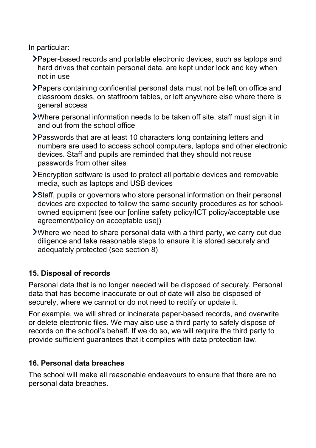In particular:

- Paper-based records and portable electronic devices, such as laptops and hard drives that contain personal data, are kept under lock and key when not in use
- Papers containing confidential personal data must not be left on office and classroom desks, on staffroom tables, or left anywhere else where there is general access
- Where personal information needs to be taken off site, staff must sign it in and out from the school office
- Passwords that are at least 10 characters long containing letters and numbers are used to access school computers, laptops and other electronic devices. Staff and pupils are reminded that they should not reuse passwords from other sites
- Encryption software is used to protect all portable devices and removable media, such as laptops and USB devices
- Staff, pupils or governors who store personal information on their personal devices are expected to follow the same security procedures as for schoolowned equipment (see our [online safety policy/ICT policy/acceptable use agreement/policy on acceptable use])
- Where we need to share personal data with a third party, we carry out due diligence and take reasonable steps to ensure it is stored securely and adequately protected (see section 8)

## **15. Disposal of records**

Personal data that is no longer needed will be disposed of securely. Personal data that has become inaccurate or out of date will also be disposed of securely, where we cannot or do not need to rectify or update it.

For example, we will shred or incinerate paper-based records, and overwrite or delete electronic files. We may also use a third party to safely dispose of records on the school's behalf. If we do so, we will require the third party to provide sufficient guarantees that it complies with data protection law.

## **16. Personal data breaches**

The school will make all reasonable endeavours to ensure that there are no personal data breaches.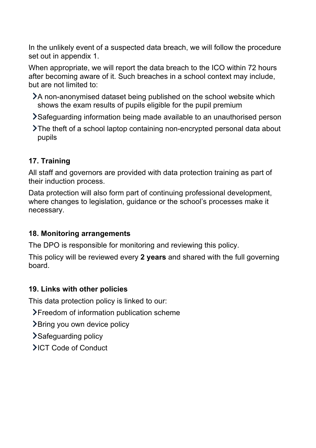In the unlikely event of a suspected data breach, we will follow the procedure set out in appendix 1.

When appropriate, we will report the data breach to the ICO within 72 hours after becoming aware of it. Such breaches in a school context may include, but are not limited to:

- A non-anonymised dataset being published on the school website which shows the exam results of pupils eligible for the pupil premium
- Safeguarding information being made available to an unauthorised person
- The theft of a school laptop containing non-encrypted personal data about pupils

## **17. Training**

All staff and governors are provided with data protection training as part of their induction process.

Data protection will also form part of continuing professional development, where changes to legislation, guidance or the school's processes make it necessary.

## **18. Monitoring arrangements**

The DPO is responsible for monitoring and reviewing this policy.

This policy will be reviewed every **2 years** and shared with the full governing board.

## **19. Links with other policies**

This data protection policy is linked to our:

Freedom of information publication scheme

Bring you own device policy

Safeguarding policy

**>ICT Code of Conduct**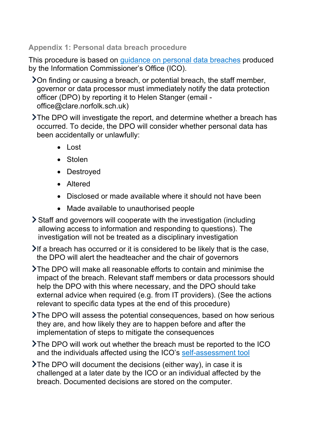#### **Appendix 1: Personal data breach procedure**

This procedure is based on guidance on personal data breaches produced by the Information Commissioner's Office (ICO).

On finding or causing a breach, or potential breach, the staff member, governor or data processor must immediately notify the data protection officer (DPO) by reporting it to Helen Stanger (email office@clare.norfolk.sch.uk)

The DPO will investigate the report, and determine whether a breach has occurred. To decide, the DPO will consider whether personal data has been accidentally or unlawfully:

- Lost
- Stolen
- Destroyed
- Altered
- Disclosed or made available where it should not have been
- Made available to unauthorised people

Staff and governors will cooperate with the investigation (including allowing access to information and responding to questions). The investigation will not be treated as a disciplinary investigation

If a breach has occurred or it is considered to be likely that is the case, the DPO will alert the headteacher and the chair of governors

The DPO will make all reasonable efforts to contain and minimise the impact of the breach. Relevant staff members or data processors should help the DPO with this where necessary, and the DPO should take external advice when required (e.g. from IT providers). (See the actions relevant to specific data types at the end of this procedure)

The DPO will assess the potential consequences, based on how serious they are, and how likely they are to happen before and after the implementation of steps to mitigate the consequences

The DPO will work out whether the breach must be reported to the ICO and the individuals affected using the ICO's self-assessment tool

The DPO will document the decisions (either way), in case it is challenged at a later date by the ICO or an individual affected by the breach. Documented decisions are stored on the computer.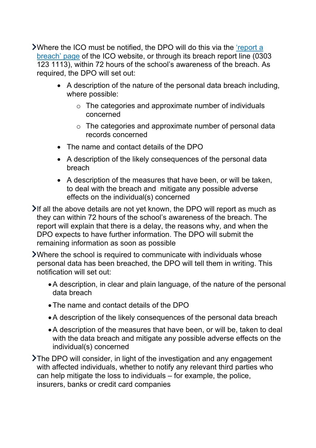Where the ICO must be notified, the DPO will do this via the 'report a breach' page of the ICO website, or through its breach report line (0303 123 1113), within 72 hours of the school's awareness of the breach. As required, the DPO will set out:

- A description of the nature of the personal data breach including, where possible:
	- $\circ$  The categories and approximate number of individuals concerned
	- o The categories and approximate number of personal data records concerned
- The name and contact details of the DPO
- A description of the likely consequences of the personal data breach
- A description of the measures that have been, or will be taken, to deal with the breach and mitigate any possible adverse effects on the individual(s) concerned

If all the above details are not yet known, the DPO will report as much as they can within 72 hours of the school's awareness of the breach. The report will explain that there is a delay, the reasons why, and when the DPO expects to have further information. The DPO will submit the remaining information as soon as possible

Where the school is required to communicate with individuals whose personal data has been breached, the DPO will tell them in writing. This notification will set out:

- •A description, in clear and plain language, of the nature of the personal data breach
- •The name and contact details of the DPO
- •A description of the likely consequences of the personal data breach
- •A description of the measures that have been, or will be, taken to deal with the data breach and mitigate any possible adverse effects on the individual(s) concerned

The DPO will consider, in light of the investigation and any engagement with affected individuals, whether to notify any relevant third parties who can help mitigate the loss to individuals – for example, the police, insurers, banks or credit card companies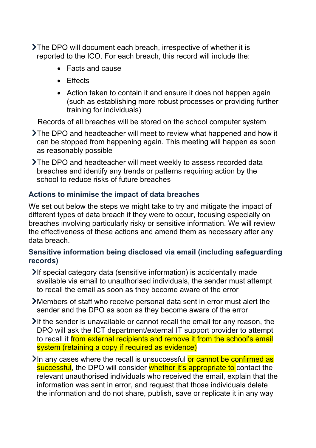The DPO will document each breach, irrespective of whether it is reported to the ICO. For each breach, this record will include the:

- Facts and cause
- Effects
- Action taken to contain it and ensure it does not happen again (such as establishing more robust processes or providing further training for individuals)

Records of all breaches will be stored on the school computer system

- The DPO and headteacher will meet to review what happened and how it can be stopped from happening again. This meeting will happen as soon as reasonably possible
- The DPO and headteacher will meet weekly to assess recorded data breaches and identify any trends or patterns requiring action by the school to reduce risks of future breaches

## **Actions to minimise the impact of data breaches**

We set out below the steps we might take to try and mitigate the impact of different types of data breach if they were to occur, focusing especially on breaches involving particularly risky or sensitive information. We will review the effectiveness of these actions and amend them as necessary after any data breach.

#### **Sensitive information being disclosed via email (including safeguarding records)**

- If special category data (sensitive information) is accidentally made available via email to unauthorised individuals, the sender must attempt to recall the email as soon as they become aware of the error
- Members of staff who receive personal data sent in error must alert the sender and the DPO as soon as they become aware of the error
- If the sender is unavailable or cannot recall the email for any reason, the DPO will ask the ICT department/external IT support provider to attempt to recall it from external recipients and remove it from the school's email system (retaining a copy if required as evidence)
- In any cases where the recall is unsuccessful or cannot be confirmed as successful, the DPO will consider whether it's appropriate to contact the relevant unauthorised individuals who received the email, explain that the information was sent in error, and request that those individuals delete the information and do not share, publish, save or replicate it in any way